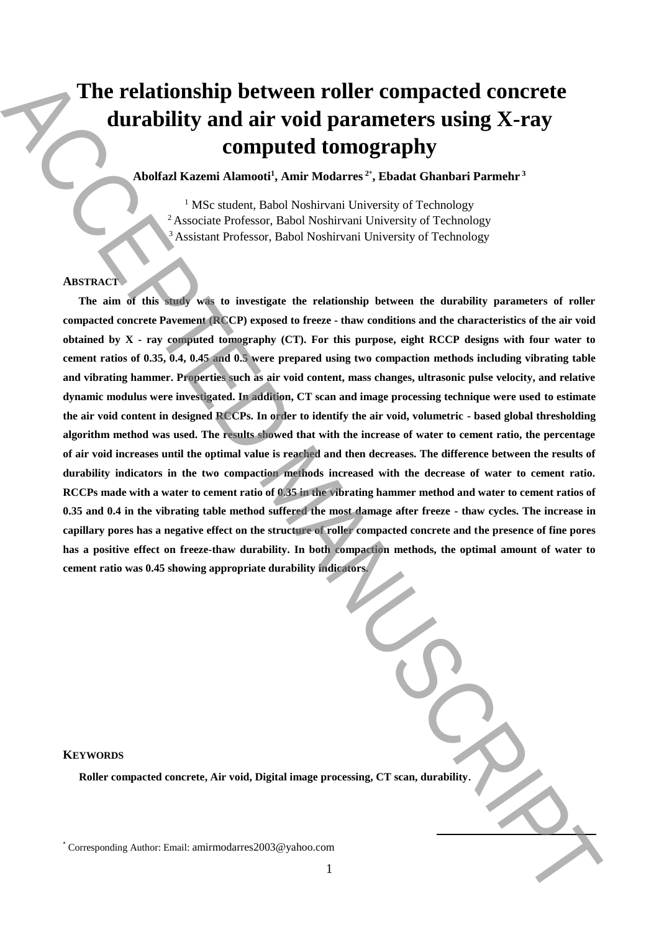# **The relationship between roller compacted concrete durability and air void parameters using X-ray computed tomography**

**Abolfazl Kazemi Alamooti<sup>1</sup> , Amir Modarres <sup>2</sup>**\* **, Ebadat Ghanbari Parmehr <sup>3</sup>**

<sup>1</sup> MSc student, Babol Noshirvani University of Technology <sup>2</sup> Associate Professor, Babol Noshirvani University of Technology <sup>3</sup> Assistant Professor, Babol Noshirvani University of Technology

# **ABSTRACT**

**The aim of this study was to investigate the relationship between the durability parameters of roller compacted concrete Pavement (RCCP) exposed to freeze - thaw conditions and the characteristics of the air void obtained by X - ray computed tomography (CT). For this purpose, eight RCCP designs with four water to cement ratios of 0.35, 0.4, 0.45 and 0.5 were prepared using two compaction methods including vibrating table and vibrating hammer. Properties such as air void content, mass changes, ultrasonic pulse velocity, and relative dynamic modulus were investigated. In addition, CT scan and image processing technique were used to estimate the air void content in designed RCCPs. In order to identify the air void, volumetric - based global thresholding algorithm method was used. The results showed that with the increase of water to cement ratio, the percentage of air void increases until the optimal value is reached and then decreases. The difference between the results of durability indicators in the two compaction methods increased with the decrease of water to cement ratio. RCCPs made with a water to cement ratio of 0.35 in the vibrating hammer method and water to cement ratios of 0.35 and 0.4 in the vibrating table method suffered the most damage after freeze - thaw cycles. The increase in capillary pores has a negative effect on the structure of roller compacted concrete and the presence of fine pores has a positive effect on freeze-thaw durability. In both compaction methods, the optimal amount of water to cement ratio was 0.45 showing appropriate durability indicators.**  The relationship between roller compacted concrete durability and air void parameters using X-ray computed concrete durability and intervalsed to concern the state intervalse correlation of the state and the state of the

**KEYWORDS**

**Roller compacted concrete, Air void, Digital image processing, CT scan, durability**.

**.**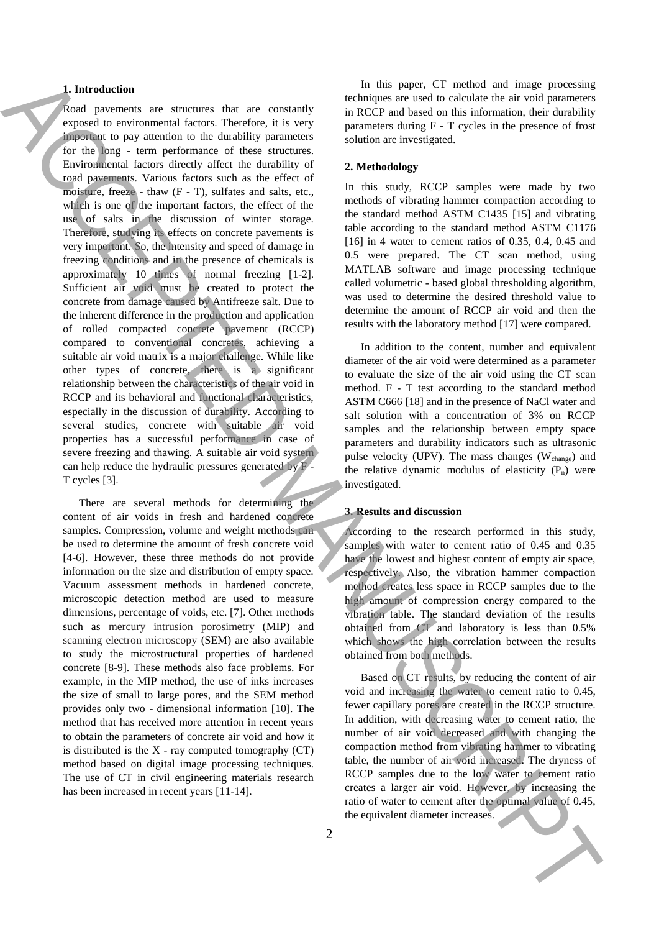## **1. Introduction**

Road pavements are structures that are constantly exposed to environmental factors. Therefore, it is very important to pay attention to the durability parameters for the long - term performance of these structures. Environmental factors directly affect the durability of road pavements. Various factors such as the effect of moisture, freeze - thaw  $(F - T)$ , sulfates and salts, etc., which is one of the important factors, the effect of the use of salts in the discussion of winter storage. Therefore, studying its effects on concrete pavements is very important. So, the intensity and speed of damage in freezing conditions and in the presence of chemicals is approximately 10 times of normal freezing [1-2]. Sufficient air void must be created to protect the concrete from damage caused by Antifreeze salt. Due to the inherent difference in the production and application of rolled compacted concrete pavement (RCCP) compared to conventional concretes, achieving a suitable air void matrix is a major challenge. While like other types of concrete, there is a significant relationship between the characteristics of the air void in RCCP and its behavioral and functional characteristics, especially in the discussion of durability. According to several studies, concrete with suitable air void properties has a successful performance in case of severe freezing and thawing. A suitable air void system can help reduce the hydraulic pressures generated by F - T cycles [3]. **Example 1.** The state of the state of the state of the state of the state of the state of the state of the state of the state of the state of the state of the state of the state of the state of the state of the state of

There are several methods for determining the content of air voids in fresh and hardened concrete samples. Compression, volume and weight methods can be used to determine the amount of fresh concrete void [4-6]. However, these three methods do not provide information on the size and distribution of empty space. Vacuum assessment methods in hardened concrete, microscopic detection method are used to measure dimensions, percentage of voids, etc. [7]. Other methods such as mercury intrusion porosimetry (MIP) and scanning electron microscopy (SEM) are also available to study the microstructural properties of hardened concrete [8-9]. These methods also face problems. For example, in the MIP method, the use of inks increases the size of small to large pores, and the SEM method provides only two - dimensional information [10]. The method that has received more attention in recent years to obtain the parameters of concrete air void and how it is distributed is the  $X$  - ray computed tomography  $(CT)$ method based on digital image processing techniques. The use of CT in civil engineering materials research has been increased in recent years [11-14].

In this paper, CT method and image processing techniques are used to calculate the air void parameters in RCCP and based on this information, their durability parameters during F - T cycles in the presence of frost solution are investigated.

#### **2. Methodology**

In this study, RCCP samples were made by two methods of vibrating hammer compaction according to the standard method ASTM C1435 [15] and vibrating table according to the standard method ASTM C1176 [16] in 4 water to cement ratios of 0.35, 0.4, 0.45 and 0.5 were prepared. The CT scan method, using MATLAB software and image processing technique called volumetric - based global thresholding algorithm, was used to determine the desired threshold value to determine the amount of RCCP air void and then the results with the laboratory method [17] were compared.

In addition to the content, number and equivalent diameter of the air void were determined as a parameter to evaluate the size of the air void using the CT scan method. F - T test according to the standard method ASTM C666 [18] and in the presence of NaCl water and salt solution with a concentration of 3% on RCCP samples and the relationship between empty space parameters and durability indicators such as ultrasonic pulse velocity (UPV). The mass changes ( $W_{change}$ ) and the relative dynamic modulus of elasticity  $(P_n)$  were investigated.

## **3. Results and discussion**

According to the research performed in this study, samples with water to cement ratio of 0.45 and 0.35 have the lowest and highest content of empty air space, respectively. Also, the vibration hammer compaction method creates less space in RCCP samples due to the high amount of compression energy compared to the vibration table. The standard deviation of the results obtained from CT and laboratory is less than 0.5% which shows the high correlation between the results obtained from both methods.

Based on CT results, by reducing the content of air void and increasing the water to cement ratio to 0.45, fewer capillary pores are created in the RCCP structure. In addition, with decreasing water to cement ratio, the number of air void decreased and with changing the compaction method from vibrating hammer to vibrating table, the number of air void increased. The dryness of RCCP samples due to the low water to cement ratio creates a larger air void. However, by increasing the ratio of water to cement after the optimal value of 0.45,